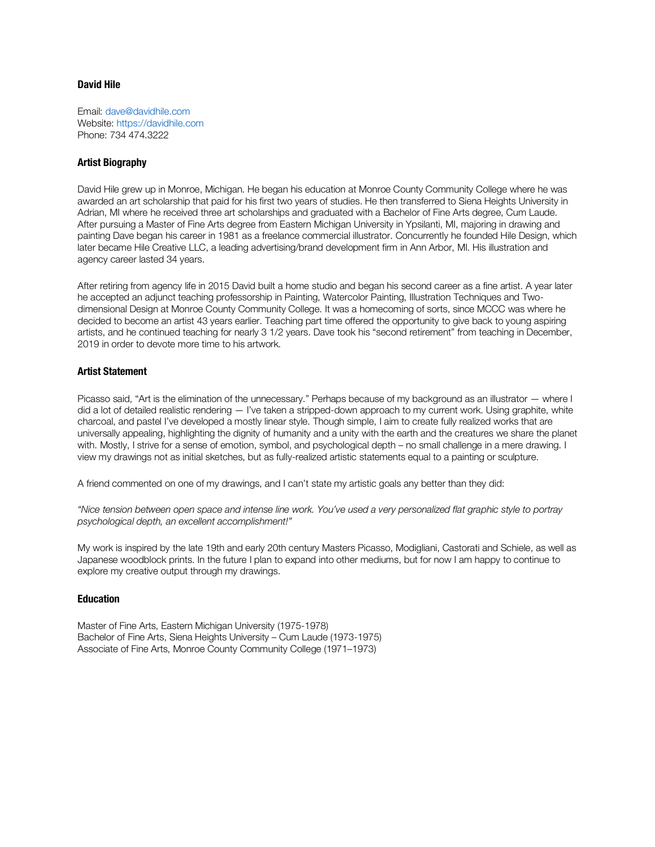## **David Hile**

Email: dave@davidhile.com Website: https://davidhile.com Phone: 734 474.3222

## **Artist Biography**

David Hile grew up in Monroe, Michigan. He began his education at Monroe County Community College where he was awarded an art scholarship that paid for his first two years of studies. He then transferred to Siena Heights University in Adrian, MI where he received three art scholarships and graduated with a Bachelor of Fine Arts degree, Cum Laude. After pursuing a Master of Fine Arts degree from Eastern Michigan University in Ypsilanti, MI, majoring in drawing and painting Dave began his career in 1981 as a freelance commercial illustrator. Concurrently he founded Hile Design, which later became Hile Creative LLC, a leading advertising/brand development firm in Ann Arbor, MI. His illustration and agency career lasted 34 years.

After retiring from agency life in 2015 David built a home studio and began his second career as a fine artist. A year later he accepted an adjunct teaching professorship in Painting, Watercolor Painting, Illustration Techniques and Twodimensional Design at Monroe County Community College. It was a homecoming of sorts, since MCCC was where he decided to become an artist 43 years earlier. Teaching part time offered the opportunity to give back to young aspiring artists, and he continued teaching for nearly 3 1/2 years. Dave took his "second retirement" from teaching in December, 2019 in order to devote more time to his artwork.

## **Artist Statement**

Picasso said, "Art is the elimination of the unnecessary." Perhaps because of my background as an illustrator — where I did a lot of detailed realistic rendering — I've taken a stripped-down approach to my current work. Using graphite, white charcoal, and pastel I've developed a mostly linear style. Though simple, I aim to create fully realized works that are universally appealing, highlighting the dignity of humanity and a unity with the earth and the creatures we share the planet with. Mostly, I strive for a sense of emotion, symbol, and psychological depth – no small challenge in a mere drawing. I view my drawings not as initial sketches, but as fully-realized artistic statements equal to a painting or sculpture.

A friend commented on one of my drawings, and I can't state my artistic goals any better than they did:

*"Nice tension between open space and intense line work. You've used a very personalized flat graphic style to portray psychological depth, an excellent accomplishment!"* 

My work is inspired by the late 19th and early 20th century Masters Picasso, Modigliani, Castorati and Schiele, as well as Japanese woodblock prints. In the future I plan to expand into other mediums, but for now I am happy to continue to explore my creative output through my drawings.

#### **Education**

Master of Fine Arts, Eastern Michigan University (1975-1978) Bachelor of Fine Arts, Siena Heights University – Cum Laude (1973-1975) Associate of Fine Arts, Monroe County Community College (1971–1973)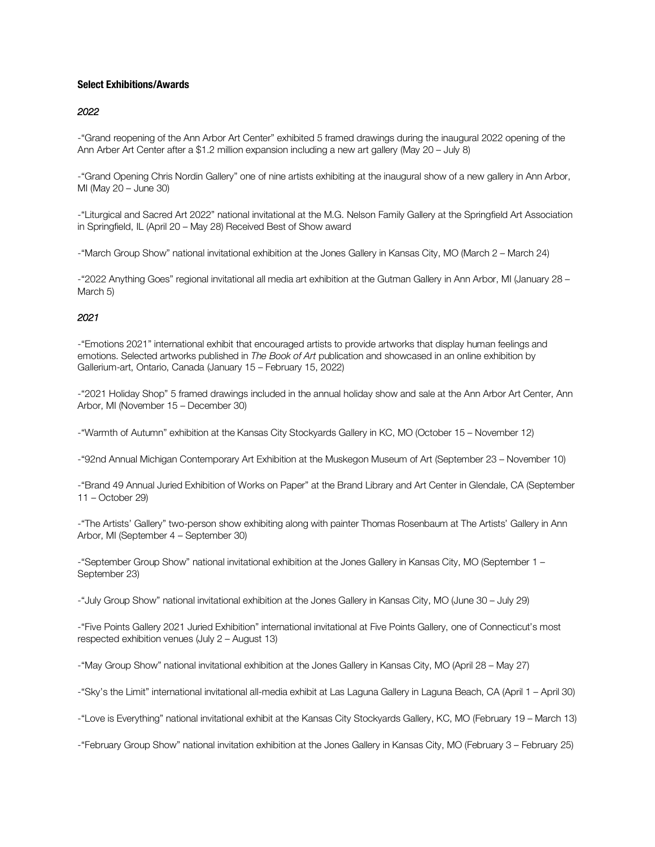## **Select Exhibitions/Awards**

### *2022*

-"Grand reopening of the Ann Arbor Art Center" exhibited 5 framed drawings during the inaugural 2022 opening of the Ann Arber Art Center after a \$1.2 million expansion including a new art gallery (May 20 – July 8)

-"Grand Opening Chris Nordin Gallery" one of nine artists exhibiting at the inaugural show of a new gallery in Ann Arbor, MI (May 20 – June 30)

-"Liturgical and Sacred Art 2022" national invitational at the M.G. Nelson Family Gallery at the Springfield Art Association in Springfield, IL (April 20 – May 28) Received Best of Show award

-"March Group Show" national invitational exhibition at the Jones Gallery in Kansas City, MO (March 2 – March 24)

-"2022 Anything Goes" regional invitational all media art exhibition at the Gutman Gallery in Ann Arbor, MI (January 28 – March 5)

## *2021*

-"Emotions 2021" international exhibit that encouraged artists to provide artworks that display human feelings and emotions. Selected artworks published in *The Book of Art* publication and showcased in an online exhibition by Gallerium-art, Ontario, Canada (January 15 – February 15, 2022)

-"2021 Holiday Shop" 5 framed drawings included in the annual holiday show and sale at the Ann Arbor Art Center, Ann Arbor, MI (November 15 – December 30)

-"Warmth of Autumn" exhibition at the Kansas City Stockyards Gallery in KC, MO (October 15 – November 12)

-"92nd Annual Michigan Contemporary Art Exhibition at the Muskegon Museum of Art (September 23 – November 10)

-"Brand 49 Annual Juried Exhibition of Works on Paper" at the Brand Library and Art Center in Glendale, CA (September 11 – October 29)

-"The Artists' Gallery" two-person show exhibiting along with painter Thomas Rosenbaum at The Artists' Gallery in Ann Arbor, MI (September 4 – September 30)

-"September Group Show" national invitational exhibition at the Jones Gallery in Kansas City, MO (September 1 – September 23)

-"July Group Show" national invitational exhibition at the Jones Gallery in Kansas City, MO (June 30 – July 29)

-"Five Points Gallery 2021 Juried Exhibition" international invitational at Five Points Gallery, one of Connecticut's most respected exhibition venues (July 2 – August 13)

-"May Group Show" national invitational exhibition at the Jones Gallery in Kansas City, MO (April 28 – May 27)

-"Sky's the Limit" international invitational all-media exhibit at Las Laguna Gallery in Laguna Beach, CA (April 1 – April 30)

-"Love is Everything" national invitational exhibit at the Kansas City Stockyards Gallery, KC, MO (February 19 – March 13)

-"February Group Show" national invitation exhibition at the Jones Gallery in Kansas City, MO (February 3 – February 25)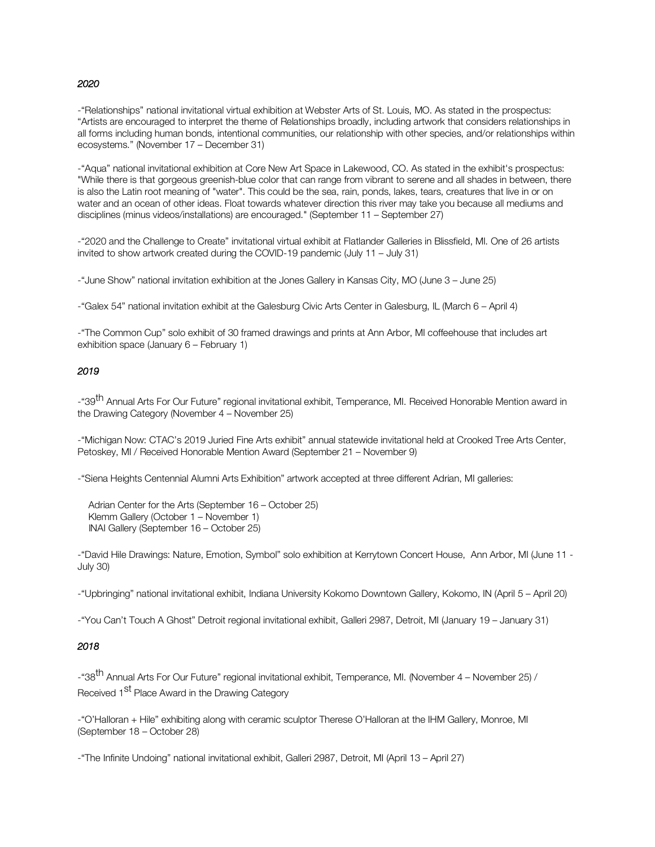#### *2020*

-"Relationships" national invitational virtual exhibition at Webster Arts of St. Louis, MO. As stated in the prospectus: "Artists are encouraged to interpret the theme of Relationships broadly, including artwork that considers relationships in all forms including human bonds, intentional communities, our relationship with other species, and/or relationships within ecosystems." (November 17 – December 31)

-"Aqua" national invitational exhibition at Core New Art Space in Lakewood, CO. As stated in the exhibit's prospectus: "While there is that gorgeous greenish-blue color that can range from vibrant to serene and all shades in between, there is also the Latin root meaning of "water". This could be the sea, rain, ponds, lakes, tears, creatures that live in or on water and an ocean of other ideas. Float towards whatever direction this river may take you because all mediums and disciplines (minus videos/installations) are encouraged." (September 11 – September 27)

-"2020 and the Challenge to Create" invitational virtual exhibit at Flatlander Galleries in Blissfield, MI. One of 26 artists invited to show artwork created during the COVID-19 pandemic (July 11 – July 31)

-"June Show" national invitation exhibition at the Jones Gallery in Kansas City, MO (June 3 – June 25)

-"Galex 54" national invitation exhibit at the Galesburg Civic Arts Center in Galesburg, IL (March 6 – April 4)

-"The Common Cup" solo exhibit of 30 framed drawings and prints at Ann Arbor, MI coffeehouse that includes art exhibition space (January 6 – February 1)

### *2019*

-"39<sup>th</sup> Annual Arts For Our Future" regional invitational exhibit, Temperance, MI. Received Honorable Mention award in the Drawing Category (November 4 – November 25)

-"Michigan Now: CTAC's 2019 Juried Fine Arts exhibit" annual statewide invitational held at Crooked Tree Arts Center, Petoskey, MI / Received Honorable Mention Award (September 21 – November 9)

-"Siena Heights Centennial Alumni Arts Exhibition" artwork accepted at three different Adrian, MI galleries:

 Adrian Center for the Arts (September 16 – October 25) Klemm Gallery (October 1 – November 1) INAI Gallery (September 16 – October 25)

-"David Hile Drawings: Nature, Emotion, Symbol" solo exhibition at Kerrytown Concert House, Ann Arbor, MI (June 11 - July 30)

-"Upbringing" national invitational exhibit, Indiana University Kokomo Downtown Gallery, Kokomo, IN (April 5 – April 20)

-"You Can't Touch A Ghost" Detroit regional invitational exhibit, Galleri 2987, Detroit, MI (January 19 – January 31)

## *2018*

-"38<sup>th</sup> Annual Arts For Our Future" regional invitational exhibit, Temperance, MI. (November 4 – November 25) / Received 1<sup>st</sup> Place Award in the Drawing Category

-"O'Halloran + Hile" exhibiting along with ceramic sculptor Therese O'Halloran at the IHM Gallery, Monroe, MI (September 18 – October 28)

-"The Infinite Undoing" national invitational exhibit, Galleri 2987, Detroit, MI (April 13 – April 27)